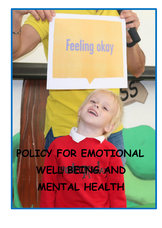# **Feeling okay**

 **POLICY FOR EMOTIONAL**  WELL BEING AND **MENTAL HEALTH**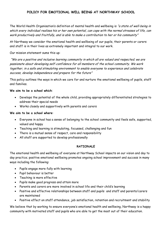## **POLICY FOR EMOTIONAL WELL BEING AT NORTHWAY SCHOOL**

The World Health Organisation's definition of mental health and wellbeing is "a state of well-being in which every individual realises his or her own potential, can cope with the normal stresses of life, can work productively and fruitfully, and is able to make a contribution to her or his community"

At Northway we consider the emotional health and wellbeing of our pupils, their parents or carers and staff is in their lives as extremely important and integral to our work.

Our mission statement sums this up:

"We are a positive and inclusive learning community in which all are valued and respected; we are passionate about developing self-confidence for all members of the school community. We work together, in a safe and stimulating environment to enable everyone to experience and celebrate success, develop independence and prepare for the future"

This policy outlines the ways in which we care for and nurture the emotional wellbeing of pupils, staff and families.

#### **We aim to be a school which**:

- Develops the potential of the whole child, providing appropriately differentiated strategies to address their special needs
- Works closely and supportively with parents and carers

#### **We aim to be a school where**:

- Everyone in school has a sense of belonging to the school community and feels safe, supported, valued and happy
- Teaching and learning is stimulating, focussed, challenging and fun
- There is a mutual sense of respect, care and responsibility
- All staff are supported to develop professionally

## **RATIONALE**

The emotional health and wellbeing of everyone at Northway School impacts on our vision and day to day practice; positive emotional wellbeing promotes ongoing school improvement and success in many ways including the following:

- Pupils engage more fully with learning
- Pupil behaviour is better
- Teaching is more effective
- Pupils make good progress and attain more
- Parents and carers are more involved in school life and their child's learning
- Positive and effective relationships between staff and pupils and staff and parents/carers are maintained
- Positive effect on staff attendance, job satisfaction, retention and recruitment and stability

We believe that by working to ensure everyone's emotional health and wellbeing, Northway is a happy community with motivated staff and pupils who are able to get the most out of their education.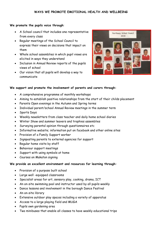#### **We promote the pupils voice through**:

- A School council that includes one representative from every class
- Regular meetings of the School Council to express their views on decisions that impact on them
- Whole school assemblies in which pupil views are elicited in ways they understand
- Inclusion in Annual Review reports of the pupils views of school
- Our vision that all pupils will develop a way to communicate



#### **We support and promote the involvement of parents and carers through:**

- A comprehensive programme of monthly workshops
- Aiming to establish positive relationships from the start of their childs placement
- Parents Open evenings in the Autumn and Spring terms
- Individual parent/school Annual Review meetings in the summer term
- Sports Days
- Weekly newsletters from class teacher and daily home school diaries
- Winter Show and summer leavers and trophies assemblies
- Surveying parental opinion through questionnaires etc
- Informative website; information put on facebook and other online sites
- Provision of a Family Support worker
- Signposting parents to external agencies for support
- Regular home visits by staff
- Behaviour support meetings
- Support with using symbols at home
- Courses on Makaton signing

#### **We provide an excellent environment and resources for learning through:**

- Provision of a purpose built school
- Large well -equipped classrooms
- Specialist areas for art, sensory play, cooking, drama, ICT
- An on-site swimming pool and instructor used by all pupils weekly
- Dance lessons and involvement in the borough Dance Festival
- An on-site library
- Extensive outdoor play spaces including a variety of apparatus
- Access to a large playing field and MUGA
- Pupils own gardening area
- Two minibuses that enable all classes to have weekly educational trips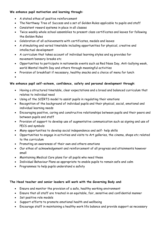## **We enhance pupil motivation and learning through:**

- A stated ethos of positive reinforcement
- The Northway Tree of Success and a set of Golden Rules applicable to pupils and staff
- Consistent reward systems in place in all classes
- Twice weekly whole school assemblies to present class certificates and leaves for following the Golden Rules
- Celebration of all achievements with certificates, medals and leaves
- A stimulating and varied timetable including opportunities for physical, creative and intellectual development
- A curriculum that takes account of individual learning styles and eg provides for movement/sensory breaks etc
- Opportunities to participate in nationwide events such as Red Nose Day, Anti-bullying week, world Mental Health Day and others through meaningful activities
- Provision of breakfast if necessary, healthy snacks and a choice of menu for lunch

 $\bullet$ 

# **We enhance pupil self-esteem, confidence, safety and personal development through**:

- Having a structured timetable, clear expectations and a broad and balanced curriculum that relates to individual need
- Using of the SCERTS model to assist pupils in regulating their emotions
- Recognition of the background of individual pupils and their physical, social, emotional and individual learning needs
- Encouraging positive, caring and constructive relationships between pupils and their peers and between pupils and staff
- Provision of support to develop use of augmentative communication such as signing and use of PECS and symbols
- Many opportunities to develop social independence and self- help skills
- Opportunities to engage in activities and visits to Art galleries, the cinema, shops etc related to the curriculum
- Promoting an awareness of their own and others emotions
- Our ethos of acknowledgement and reinforcement of all progress and attainments however small
- Maintaining Medical Care plans for all pupils who need these
- Individual Behaviour Plans as appropriate to enable pupils to remain safe and calm
- Programmes to help pupils understand e safety

# **The Head teacher and senior leaders will work with the Governing Body and**:

- Ensure and monitor the provision of a safe, healthy working environment
- Ensure that all staff are treated in an equitable, fair, sensitive and confidential manner
- Set positive role models
- Support efforts to promote emotional health and wellbeing
- Encourage staff in maintaining a healthy work life balance and provide support as necessary